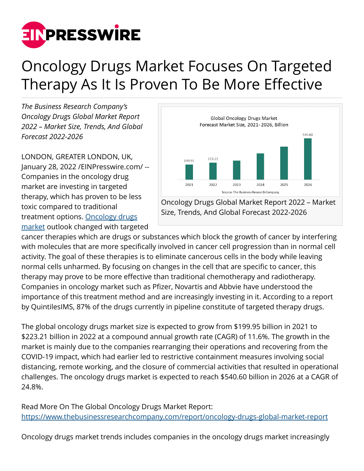

## Oncology Drugs Market Focuses On Targeted Therapy As It Is Proven To Be More Effective

*The Business Research Company's Oncology Drugs Global Market Report 2022 – Market Size, Trends, And Global Forecast 2022-2026*

LONDON, GREATER LONDON, UK, January 28, 2022 /[EINPresswire.com](http://www.einpresswire.com)/ -- Companies in the oncology drug market are investing in targeted therapy, which has proven to be less toxic compared to traditional treatment options. [Oncology drugs](https://www.thebusinessresearchcompany.com/report/oncology-drugs-global-market-report) [market](https://www.thebusinessresearchcompany.com/report/oncology-drugs-global-market-report) outlook changed with targeted



Oncology Drugs Global Market Report 2022 – Market Size, Trends, And Global Forecast 2022-2026

cancer therapies which are drugs or substances which block the growth of cancer by interfering with molecules that are more specifically involved in cancer cell progression than in normal cell activity. The goal of these therapies is to eliminate cancerous cells in the body while leaving normal cells unharmed. By focusing on changes in the cell that are specific to cancer, this therapy may prove to be more effective than traditional chemotherapy and radiotherapy. Companies in oncology market such as Pfizer, Novartis and Abbvie have understood the importance of this treatment method and are increasingly investing in it. According to a report by QuintilesIMS, 87% of the drugs currently in pipeline constitute of targeted therapy drugs.

The global oncology drugs market size is expected to grow from \$199.95 billion in 2021 to \$223.21 billion in 2022 at a compound annual growth rate (CAGR) of 11.6%. The growth in the market is mainly due to the companies rearranging their operations and recovering from the COVID-19 impact, which had earlier led to restrictive containment measures involving social distancing, remote working, and the closure of commercial activities that resulted in operational challenges. The oncology drugs market is expected to reach \$540.60 billion in 2026 at a CAGR of 24.8%.

Read More On The Global Oncology Drugs Market Report: <https://www.thebusinessresearchcompany.com/report/oncology-drugs-global-market-report>

Oncology drugs market trends includes companies in the oncology drugs market increasingly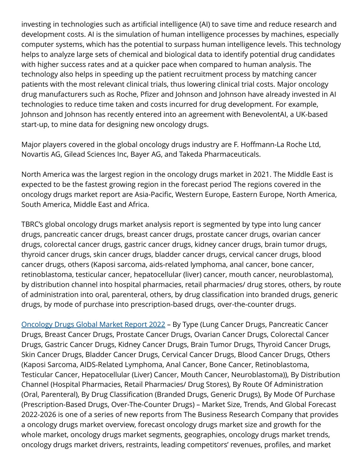investing in technologies such as artificial intelligence (AI) to save time and reduce research and development costs. AI is the simulation of human intelligence processes by machines, especially computer systems, which has the potential to surpass human intelligence levels. This technology helps to analyze large sets of chemical and biological data to identify potential drug candidates with higher success rates and at a quicker pace when compared to human analysis. The technology also helps in speeding up the patient recruitment process by matching cancer patients with the most relevant clinical trials, thus lowering clinical trial costs. Major oncology drug manufacturers such as Roche, Pfizer and Johnson and Johnson have already invested in AI technologies to reduce time taken and costs incurred for drug development. For example, Johnson and Johnson has recently entered into an agreement with BenevolentAI, a UK-based start-up, to mine data for designing new oncology drugs.

Major players covered in the global oncology drugs industry are F. Hoffmann-La Roche Ltd, Novartis AG, Gilead Sciences Inc, Bayer AG, and Takeda Pharmaceuticals.

North America was the largest region in the oncology drugs market in 2021. The Middle East is expected to be the fastest growing region in the forecast period The regions covered in the oncology drugs market report are Asia-Pacific, Western Europe, Eastern Europe, North America, South America, Middle East and Africa.

TBRC's global oncology drugs market analysis report is segmented by type into lung cancer drugs, pancreatic cancer drugs, breast cancer drugs, prostate cancer drugs, ovarian cancer drugs, colorectal cancer drugs, gastric cancer drugs, kidney cancer drugs, brain tumor drugs, thyroid cancer drugs, skin cancer drugs, bladder cancer drugs, cervical cancer drugs, blood cancer drugs, others (Kaposi sarcoma, aids-related lymphoma, anal cancer, bone cancer, retinoblastoma, testicular cancer, hepatocellular (liver) cancer, mouth cancer, neuroblastoma), by distribution channel into hospital pharmacies, retail pharmacies/ drug stores, others, by route of administration into oral, parenteral, others, by drug classification into branded drugs, generic drugs, by mode of purchase into prescription-based drugs, over-the-counter drugs.

[Oncology Drugs Global Market Report 2022](https://www.thebusinessresearchcompany.com/report/oncology-drugs-global-market-report) – By Type (Lung Cancer Drugs, Pancreatic Cancer Drugs, Breast Cancer Drugs, Prostate Cancer Drugs, Ovarian Cancer Drugs, Colorectal Cancer Drugs, Gastric Cancer Drugs, Kidney Cancer Drugs, Brain Tumor Drugs, Thyroid Cancer Drugs, Skin Cancer Drugs, Bladder Cancer Drugs, Cervical Cancer Drugs, Blood Cancer Drugs, Others (Kaposi Sarcoma, AIDS-Related Lymphoma, Anal Cancer, Bone Cancer, Retinoblastoma, Testicular Cancer, Hepatocellular (Liver) Cancer, Mouth Cancer, Neuroblastoma)), By Distribution Channel (Hospital Pharmacies, Retail Pharmacies/ Drug Stores), By Route Of Administration (Oral, Parenteral), By Drug Classification (Branded Drugs, Generic Drugs), By Mode Of Purchase (Prescription-Based Drugs, Over-The-Counter Drugs) – Market Size, Trends, And Global Forecast 2022-2026 is one of a series of new reports from The Business Research Company that provides a oncology drugs market overview, forecast oncology drugs market size and growth for the whole market, oncology drugs market segments, geographies, oncology drugs market trends, oncology drugs market drivers, restraints, leading competitors' revenues, profiles, and market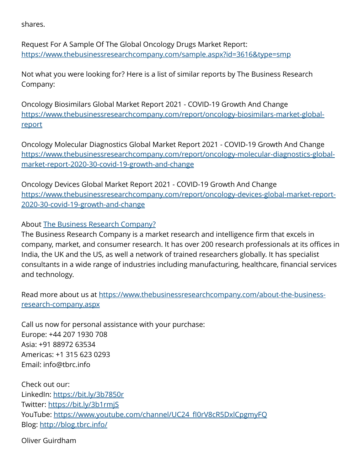shares.

Request For A Sample Of The Global Oncology Drugs Market Report: <https://www.thebusinessresearchcompany.com/sample.aspx?id=3616&type=smp>

Not what you were looking for? Here is a list of similar reports by The Business Research Company:

Oncology Biosimilars Global Market Report 2021 - COVID-19 Growth And Change [https://www.thebusinessresearchcompany.com/report/oncology-biosimilars-market-global](https://www.thebusinessresearchcompany.com/report/oncology-biosimilars-market-global-report)[report](https://www.thebusinessresearchcompany.com/report/oncology-biosimilars-market-global-report)

Oncology Molecular Diagnostics Global Market Report 2021 - COVID-19 Growth And Change [https://www.thebusinessresearchcompany.com/report/oncology-molecular-diagnostics-global](https://www.thebusinessresearchcompany.com/report/oncology-molecular-diagnostics-global-market-report-2020-30-covid-19-growth-and-change)[market-report-2020-30-covid-19-growth-and-change](https://www.thebusinessresearchcompany.com/report/oncology-molecular-diagnostics-global-market-report-2020-30-covid-19-growth-and-change)

Oncology Devices Global Market Report 2021 - COVID-19 Growth And Change [https://www.thebusinessresearchcompany.com/report/oncology-devices-global-market-report-](https://www.thebusinessresearchcompany.com/report/oncology-devices-global-market-report-2020-30-covid-19-growth-and-change)[2020-30-covid-19-growth-and-change](https://www.thebusinessresearchcompany.com/report/oncology-devices-global-market-report-2020-30-covid-19-growth-and-change)

## About [The Business Research Company?](https://www.thebusinessresearchcompany.com/)

The Business Research Company is a market research and intelligence firm that excels in company, market, and consumer research. It has over 200 research professionals at its offices in India, the UK and the US, as well a network of trained researchers globally. It has specialist consultants in a wide range of industries including manufacturing, healthcare, financial services and technology.

Read more about us at [https://www.thebusinessresearchcompany.com/about-the-business](https://www.thebusinessresearchcompany.com/about-the-business-research-company.aspx)[research-company.aspx](https://www.thebusinessresearchcompany.com/about-the-business-research-company.aspx)

Call us now for personal assistance with your purchase: Europe: +44 207 1930 708 Asia: +91 88972 63534 Americas: +1 315 623 0293 Email: info@tbrc.info

Check out our: LinkedIn: <https://bit.ly/3b7850r> Twitter:<https://bit.ly/3b1rmjS> YouTube: [https://www.youtube.com/channel/UC24\\_fI0rV8cR5DxlCpgmyFQ](https://www.youtube.com/channel/UC24_fI0rV8cR5DxlCpgmyFQ) Blog: <http://blog.tbrc.info/>

Oliver Guirdham